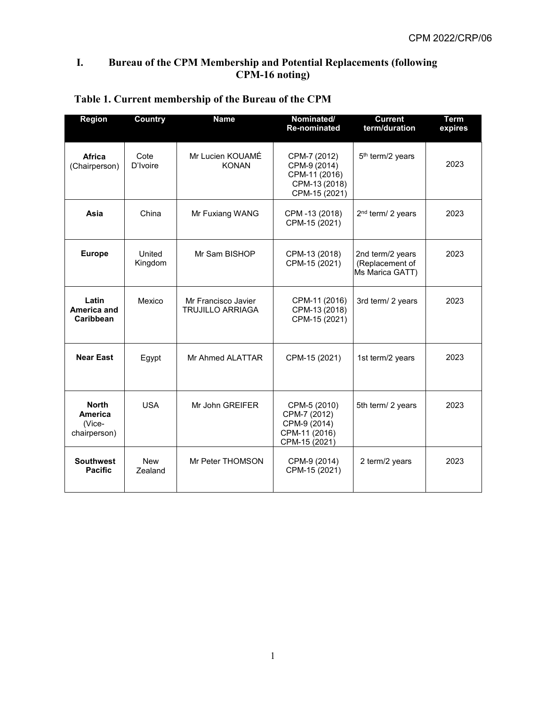### **I. Bureau of the CPM Membership and Potential Replacements (following CPM-16 noting)**

| <b>Region</b>                                     | Country               | <b>Name</b>                                    | Nominated/<br><b>Re-nominated</b>                                               | <b>Current</b><br>term/duration                        | Term<br>expires |
|---------------------------------------------------|-----------------------|------------------------------------------------|---------------------------------------------------------------------------------|--------------------------------------------------------|-----------------|
| Africa<br>(Chairperson)                           | Cote<br>D'Ivoire      | Mr Lucien KOUAMÉ<br><b>KONAN</b>               | CPM-7 (2012)<br>CPM-9 (2014)<br>CPM-11 (2016)<br>CPM-13 (2018)<br>CPM-15 (2021) | 5 <sup>th</sup> term/2 years                           | 2023            |
| Asia                                              | China                 | Mr Fuxiang WANG                                | CPM-13 (2018)<br>CPM-15 (2021)                                                  | 2 <sup>nd</sup> term/ 2 years                          | 2023            |
| <b>Europe</b>                                     | United<br>Kingdom     | Mr Sam BISHOP                                  | CPM-13 (2018)<br>CPM-15 (2021)                                                  | 2nd term/2 years<br>(Replacement of<br>Ms Marica GATT) | 2023            |
| Latin<br>America and<br>Caribbean                 | Mexico                | Mr Francisco Javier<br><b>TRUJILLO ARRIAGA</b> | CPM-11 (2016)<br>CPM-13 (2018)<br>CPM-15 (2021)                                 | 3rd term/ 2 years                                      | 2023            |
| <b>Near East</b>                                  | Egypt                 | Mr Ahmed ALATTAR                               | CPM-15 (2021)                                                                   | 1st term/2 years                                       | 2023            |
| <b>North</b><br>America<br>(Vice-<br>chairperson) | <b>USA</b>            | Mr John GREIFER                                | CPM-5 (2010)<br>CPM-7 (2012)<br>CPM-9 (2014)<br>CPM-11 (2016)<br>CPM-15 (2021)  | 5th term/ 2 years                                      | 2023            |
| <b>Southwest</b><br><b>Pacific</b>                | <b>New</b><br>Zealand | Mr Peter THOMSON                               | CPM-9 (2014)<br>CPM-15 (2021)                                                   | 2 term/2 years                                         | 2023            |

# **Table 1. Current membership of the Bureau of the CPM**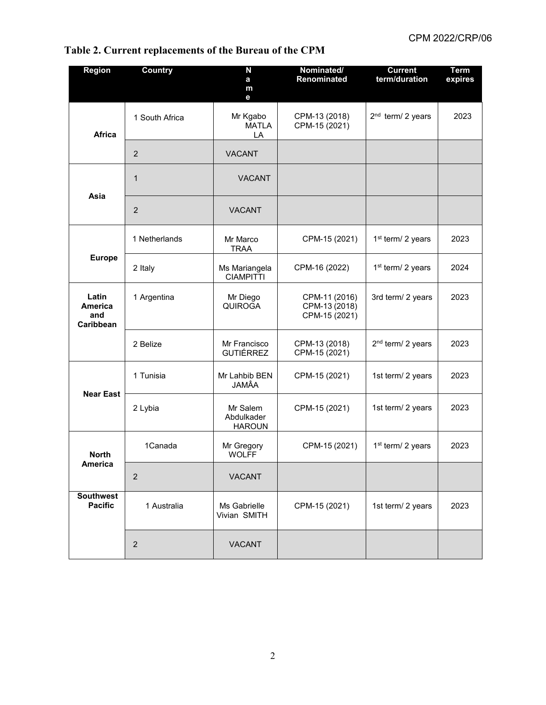#### **Region Country N a m e Nominated/ Renominated Current term/duration Term expires Africa** 1 South Africa **Night** Mr Kgabo **MATLA** LA CPM-13 (2018) CPM-15 (2021)  $2<sup>nd</sup>$  term/ 2 years | 2023 2 VACANT **Asia** 1 VACANT 2 VACANT **Europe** 1 Netherlands | Mr Marco TRAA CPM-15 (2021)  $\vert$  1<sup>st</sup> term/ 2 years  $\vert$  2023 2 Italy Ms Mariangela CIAMPITTI CPM-16 (2022)  $|$  1<sup>st</sup> term/ 2 years  $|$  2024 **Latin America and Caribbean** 1 Argentina | Mr Diego **QUIROGA** CPM-11 (2016) CPM-13 (2018) CPM-15 (2021) 3rd term/ 2 years  $\vert$  2023 2 Belize Mr Francisco GUTIÉRREZ CPM-13 (2018) CPM-15 (2021)  $2<sup>nd</sup>$  term/ 2 years 2023 **Near East** 1 Tunisia | Mr Lahbib BEN JAMÂA CPM-15 (2021) | 1st term/ 2 years | 2023 2 Lybia | Mr Salem Abdulkader HAROUN CPM-15 (2021) | 1st term/ 2 years | 2023 **North America** 1Canada Mr Gregory **WOLFF** CPM-15 (2021)  $\int 1^{st} \text{ term} / 2 \text{ years}$  2023 2 VACANT **Southwest**  1 Australia **Ms Gabrielle** Vivian SMITH CPM-15 (2021)  $\vert$  1st term/ 2 years  $\vert$  2023 2 VACANT

### **Table 2. Current replacements of the Bureau of the CPM**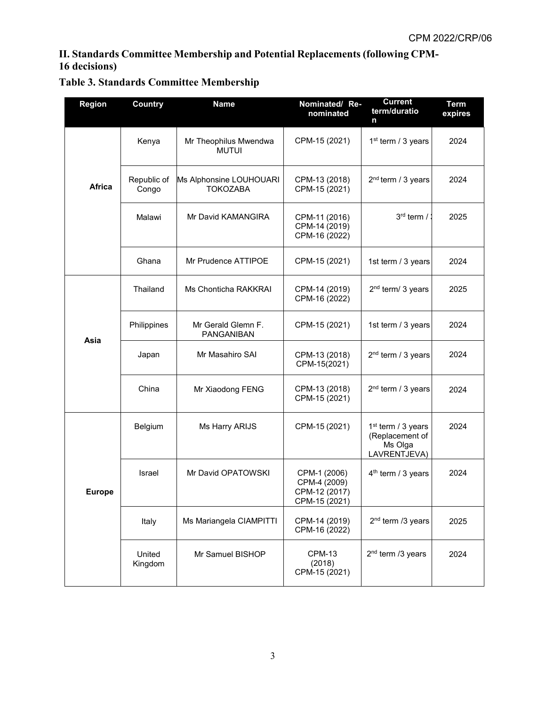## **II. Standards Committee Membership and Potential Replacements (following CPM-16 decisions)**

# **Table 3. Standards Committee Membership**

| <b>Region</b> | <b>Country</b>       | <b>Name</b>                                | Nominated/Re-<br>nominated                                     | <b>Current</b><br>term/duratio<br>n                                          | <b>Term</b><br>expires |
|---------------|----------------------|--------------------------------------------|----------------------------------------------------------------|------------------------------------------------------------------------------|------------------------|
| <b>Africa</b> | Kenya                | Mr Theophilus Mwendwa<br><b>MUTUI</b>      | CPM-15 (2021)                                                  | 1 <sup>st</sup> term / 3 years                                               | 2024                   |
|               | Republic of<br>Congo | Ms Alphonsine LOUHOUARI<br><b>TOKOZABA</b> | CPM-13 (2018)<br>CPM-15 (2021)                                 | 2 <sup>nd</sup> term / 3 years                                               | 2024                   |
|               | Malawi               | Mr David KAMANGIRA                         | CPM-11 (2016)<br>CPM-14 (2019)<br>CPM-16 (2022)                | 3rd term /                                                                   | 2025                   |
|               | Ghana                | Mr Prudence ATTIPOE                        | CPM-15 (2021)                                                  | 1st term / 3 years                                                           | 2024                   |
| Asia          | Thailand             | Ms Chonticha RAKKRAI                       | CPM-14 (2019)<br>CPM-16 (2022)                                 | 2 <sup>nd</sup> term/ 3 years                                                | 2025                   |
|               | Philippines          | Mr Gerald Glemn F.<br>PANGANIBAN           | CPM-15 (2021)                                                  | 1st term / 3 years                                                           | 2024                   |
|               | Japan                | Mr Masahiro SAI                            | CPM-13 (2018)<br>CPM-15(2021)                                  | $2nd$ term / 3 years                                                         | 2024                   |
|               | China                | Mr Xiaodong FENG                           | CPM-13 (2018)<br>CPM-15 (2021)                                 | 2 <sup>nd</sup> term / 3 years                                               | 2024                   |
| Europe        | Belgium              | Ms Harry ARIJS                             | CPM-15 (2021)                                                  | 1 <sup>st</sup> term / 3 years<br>(Replacement of<br>Ms Olga<br>LAVRENTJEVA) | 2024                   |
|               | Israel               | Mr David OPATOWSKI                         | CPM-1 (2006)<br>CPM-4 (2009)<br>CPM-12 (2017)<br>CPM-15 (2021) | $4th$ term / 3 years                                                         | 2024                   |
|               | Italy                | Ms Mariangela CIAMPITTI                    | CPM-14 (2019)<br>CPM-16 (2022)                                 | 2 <sup>nd</sup> term /3 years                                                | 2025                   |
|               | United<br>Kingdom    | Mr Samuel BISHOP                           | CPM-13<br>(2018)<br>CPM-15 (2021)                              | 2 <sup>nd</sup> term /3 years                                                | 2024                   |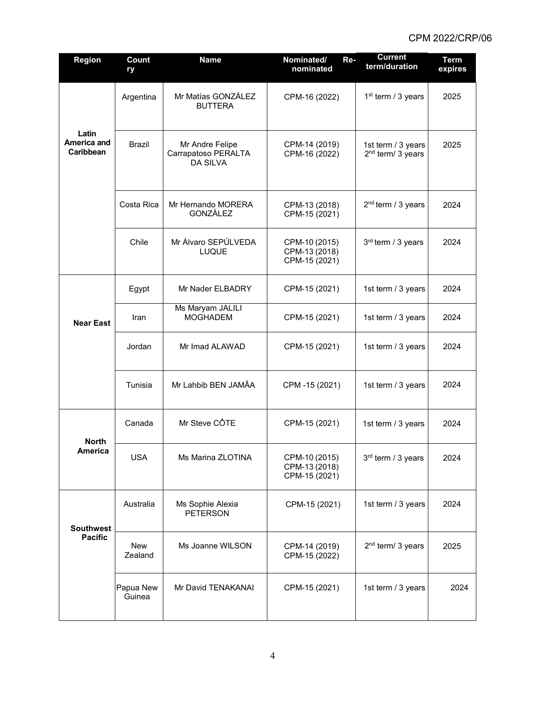| Region                             | Count<br>ry         | <b>Name</b>                                               | Nominated/<br>Re-<br>nominated                  | <b>Current</b><br>term/duration                     | <b>Term</b><br>expires |
|------------------------------------|---------------------|-----------------------------------------------------------|-------------------------------------------------|-----------------------------------------------------|------------------------|
| Latin<br>America and<br>Caribbean  | Argentina           | Mr Matías GONZÁLEZ<br><b>BUTTERA</b>                      | CPM-16 (2022)                                   | 1 <sup>st</sup> term / 3 years                      | 2025                   |
|                                    | Brazil              | Mr Andre Felipe<br>Carrapatoso PERALTA<br><b>DA SILVA</b> | CPM-14 (2019)<br>CPM-16 (2022)                  | 1st term / 3 years<br>2 <sup>nd</sup> term/ 3 years | 2025                   |
|                                    | Costa Rica          | Mr Hernando MORERA<br><b>GONZÁLEZ</b>                     | CPM-13 (2018)<br>CPM-15 (2021)                  | 2 <sup>nd</sup> term / 3 years                      | 2024                   |
|                                    | Chile               | Mr Álvaro SEPÚLVEDA<br><b>LUQUE</b>                       | CPM-10 (2015)<br>CPM-13 (2018)<br>CPM-15 (2021) | 3rd term / 3 years                                  | 2024                   |
| <b>Near East</b>                   | Egypt               | Mr Nader ELBADRY                                          | CPM-15 (2021)                                   | 1st term / 3 years                                  | 2024                   |
|                                    | Iran                | Ms Maryam JALILI<br><b>MOGHADEM</b>                       | CPM-15 (2021)                                   | 1st term / 3 years                                  | 2024                   |
|                                    | Jordan              | Mr Imad ALAWAD                                            | CPM-15 (2021)                                   | 1st term / 3 years                                  | 2024                   |
|                                    | Tunisia             | Mr Lahbib BEN JAMÂA                                       | CPM -15 (2021)                                  | 1st term / 3 years                                  | 2024                   |
| <b>North</b><br>America            | Canada              | Mr Steve CÔTE                                             | CPM-15 (2021)                                   | 1st term / 3 years                                  | 2024                   |
|                                    | <b>USA</b>          | Ms Marina ZLOTINA                                         | CPM-10 (2015)<br>CPM-13 (2018)<br>CPM-15 (2021) | 3rd term / 3 years                                  | 2024                   |
| <b>Southwest</b><br><b>Pacific</b> | Australia           | Ms Sophie Alexia<br><b>PETERSON</b>                       | CPM-15 (2021)                                   | 1st term / 3 years                                  | 2024                   |
|                                    | New<br>Zealand      | Ms Joanne WILSON                                          | CPM-14 (2019)<br>CPM-15 (2022)                  | 2 <sup>nd</sup> term/ 3 years                       | 2025                   |
|                                    | Papua New<br>Guinea | Mr David TENAKANAI                                        | CPM-15 (2021)                                   | 1st term / 3 years                                  | 2024                   |